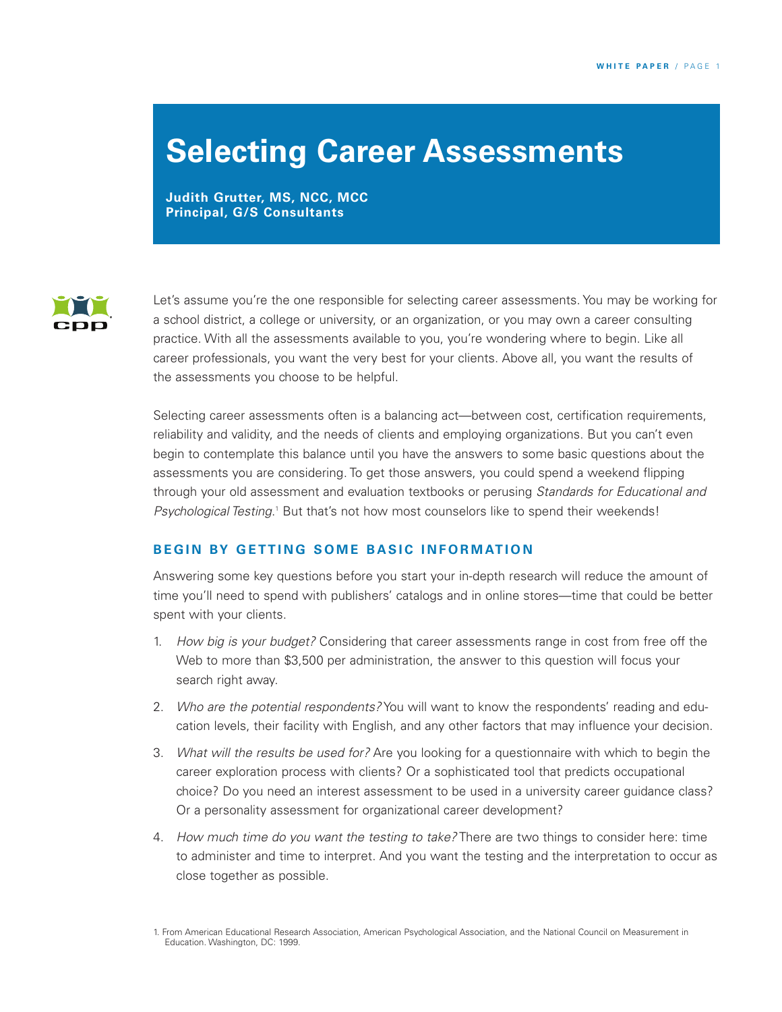## **Selecting Career Assessments**

**Judith Grutter, MS, NCC, MCC Principal, G/S Consultants**



Let's assume you're the one responsible for selecting career assessments. You may be working for a school district, a college or university, or an organization, or you may own a career consulting practice. With all the assessments available to you, you're wondering where to begin. Like all career professionals, you want the very best for your clients. Above all, you want the results of the assessments you choose to be helpful.

Selecting career assessments often is a balancing act—between cost, certification requirements, reliability and validity, and the needs of clients and employing organizations. But you can't even begin to contemplate this balance until you have the answers to some basic questions about the assessments you are considering. To get those answers, you could spend a weekend flipping through your old assessment and evaluation textbooks or perusing *Standards for Educational and* Psychological *Testing*.<sup>1</sup> But that's not how most counselors like to spend their weekends!

#### **BEGIN BY GETTING SOME BASIC INFORMATION**

Answering some key questions before you start your in-depth research will reduce the amount of time you'll need to spend with publishers' catalogs and in online stores—time that could be better spent with your clients.

- 1. *How big is your budget?* Considering that career assessments range in cost from free off the Web to more than \$3,500 per administration, the answer to this question will focus your search right away.
- 2. *Who are the potential respondents?* You will want to know the respondents' reading and education levels, their facility with English, and any other factors that may influence your decision.
- 3. *What will the results be used for?* Are you looking for a questionnaire with which to begin the career exploration process with clients? Or a sophisticated tool that predicts occupational choice? Do you need an interest assessment to be used in a university career guidance class? Or a personality assessment for organizational career development?
- 4. *How much time do you want the testing to take?* There are two things to consider here: time to administer and time to interpret. And you want the testing and the interpretation to occur as close together as possible.

<sup>1.</sup> From American Educational Research Association, American Psychological Association, and the National Council on Measurement in Education. Washington, DC: 1999.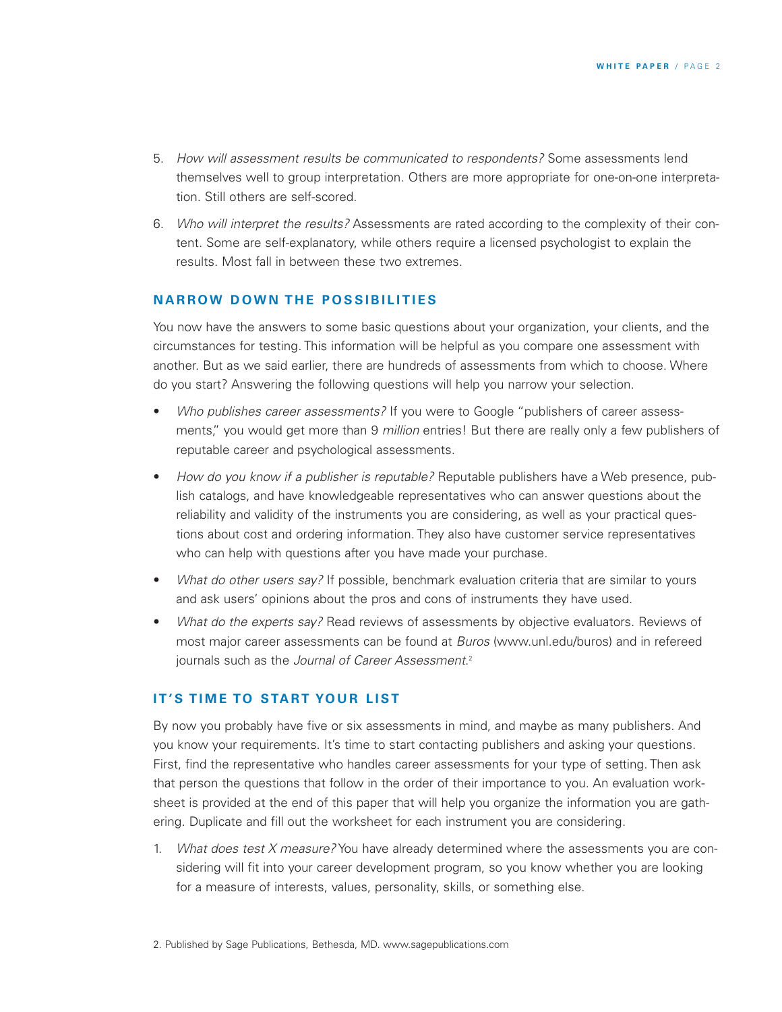- 5. *How will assessment results be communicated to respondents?* Some assessments lend themselves well to group interpretation. Others are more appropriate for one-on-one interpretation. Still others are self-scored.
- 6. *Who will interpret the results?* Assessments are rated according to the complexity of their content. Some are self-explanatory, while others require a licensed psychologist to explain the results. Most fall in between these two extremes.

#### **N A R R OW D OW N T H E P O S SI BI L I T I ES**

You now have the answers to some basic questions about your organization, your clients, and the circumstances for testing. This information will be helpful as you compare one assessment with another. But as we said earlier, there are hundreds of assessments from which to choose. Where do you start? Answering the following questions will help you narrow your selection.

- *Who publishes career assessments?* If you were to Google "publishers of career assessments," you would get more than 9 *million* entries! But there are really only a few publishers of reputable career and psychological assessments.
- *How do you know if a publisher is reputable?* Reputable publishers have a Web presence, publish catalogs, and have knowledgeable representatives who can answer questions about the reliability and validity of the instruments you are considering, as well as your practical questions about cost and ordering information. They also have customer service representatives who can help with questions after you have made your purchase.
- *What do other users say?* If possible, benchmark evaluation criteria that are similar to yours and ask users' opinions about the pros and cons of instruments they have used.
- *What do the experts say?* Read reviews of assessments by objective evaluators. Reviews of most major career assessments can be found at *Buros* (www.unl.edu/buros) and in refereed journals such as the *Journal of Career Assessment*. 2

#### **I T ' S T I M E TO STA RT YO U R L I ST**

By now you probably have five or six assessments in mind, and maybe as many publishers. And you know your requirements. It's time to start contacting publishers and asking your questions. First, find the representative who handles career assessments for your type of setting. Then ask that person the questions that follow in the order of their importance to you. An evaluation worksheet is provided at the end of this paper that will help you organize the information you are gathering. Duplicate and fill out the worksheet for each instrument you are considering.

1. *What does test X measure?* You have already determined where the assessments you are considering will fit into your career development program, so you know whether you are looking for a measure of interests, values, personality, skills, or something else.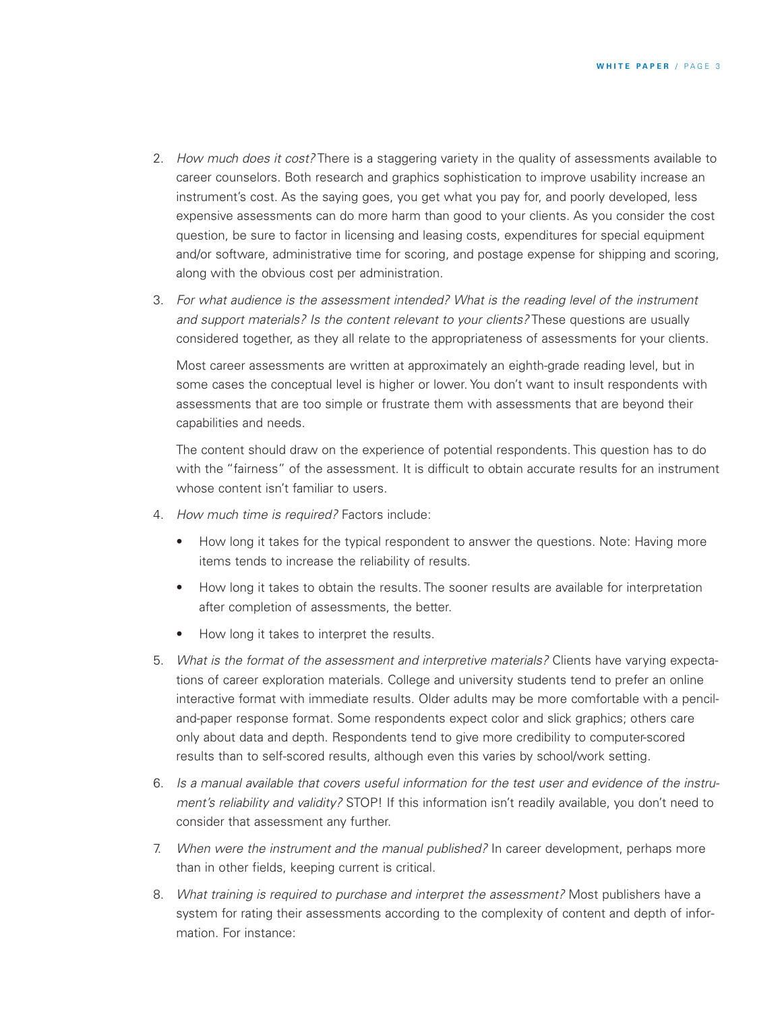- 2. *How much does it cost?* There is a staggering variety in the quality of assessments available to career counselors. Both research and graphics sophistication to improve usability increase an instrument's cost. As the saying goes, you get what you pay for, and poorly developed, less expensive assessments can do more harm than good to your clients. As you consider the cost question, be sure to factor in licensing and leasing costs, expenditures for special equipment and/or software, administrative time for scoring, and postage expense for shipping and scoring, along with the obvious cost per administration.
- 3. *For what audience is the assessment intended? What is the reading level of the instrument and support materials? Is the content relevant to your clients?* These questions are usually considered together, as they all relate to the appropriateness of assessments for your clients.

Most career assessments are written at approximately an eighth-grade reading level, but in some cases the conceptual level is higher or lower. You don't want to insult respondents with assessments that are too simple or frustrate them with assessments that are beyond their capabilities and needs.

The content should draw on the experience of potential respondents. This question has to do with the "fairness" of the assessment. It is difficult to obtain accurate results for an instrument whose content isn't familiar to users.

- 4. *How much time is required?* Factors include:
	- How long it takes for the typical respondent to answer the questions. Note: Having more items tends to increase the reliability of results.
	- How long it takes to obtain the results. The sooner results are available for interpretation after completion of assessments, the better.
	- How long it takes to interpret the results.
- 5. *What is the format of the assessment and interpretive materials?* Clients have varying expectations of career exploration materials. College and university students tend to prefer an online interactive format with immediate results. Older adults may be more comfortable with a penciland-paper response format. Some respondents expect color and slick graphics; others care only about data and depth. Respondents tend to give more credibility to computer-scored results than to self-scored results, although even this varies by school/work setting.
- 6. *Is a manual available that covers useful information for the test user and evidence of the instrument's reliability and validity?* STOP! If this information isn't readily available, you don't need to consider that assessment any further.
- 7. *When were the instrument and the manual published?* In career development, perhaps more than in other fields, keeping current is critical.
- 8. *What training is required to purchase and interpret the assessment?* Most publishers have a system for rating their assessments according to the complexity of content and depth of information. For instance: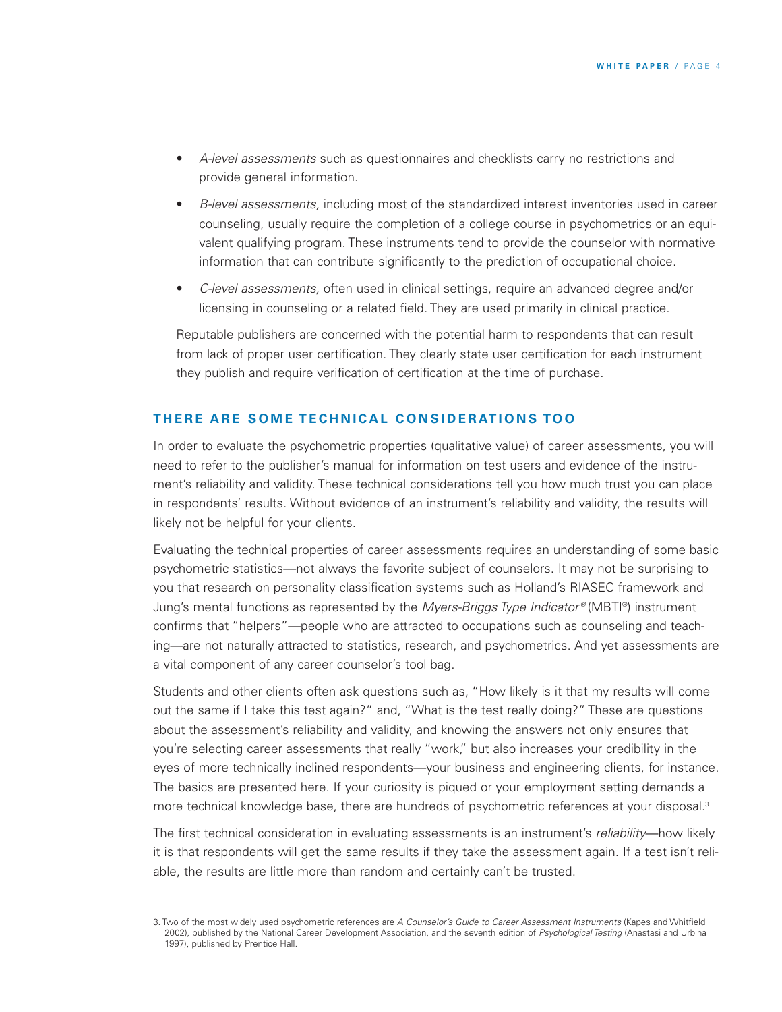- *A-level assessments* such as questionnaires and checklists carry no restrictions and provide general information.
- *B-level assessments,* including most of the standardized interest inventories used in career counseling, usually require the completion of a college course in psychometrics or an equivalent qualifying program. These instruments tend to provide the counselor with normative information that can contribute significantly to the prediction of occupational choice.
- *C-level assessments,* often used in clinical settings, require an advanced degree and/or licensing in counseling or a related field. They are used primarily in clinical practice.

Reputable publishers are concerned with the potential harm to respondents that can result from lack of proper user certification. They clearly state user certification for each instrument they publish and require verification of certification at the time of purchase.

#### THERE ARE SOME TECHNICAL CONSIDERATIONS TOO

In order to evaluate the psychometric properties (qualitative value) of career assessments, you will need to refer to the publisher's manual for information on test users and evidence of the instrument's reliability and validity. These technical considerations tell you how much trust you can place in respondents' results. Without evidence of an instrument's reliability and validity, the results will likely not be helpful for your clients.

Evaluating the technical properties of career assessments requires an understanding of some basic psychometric statistics—not always the favorite subject of counselors. It may not be surprising to you that research on personality classification systems such as Holland's RIASEC framework and Jung's mental functions as represented by the *Myers-Briggs Type Indicator ®* (MBTI ®) instrument confirms that "helpers"—people who are attracted to occupations such as counseling and teaching—are not naturally attracted to statistics, research, and psychometrics. And yet assessments are a vital component of any career counselor's tool bag.

Students and other clients often ask questions such as, "How likely is it that my results will come out the same if I take this test again?" and, "What is the test really doing?" These are questions about the assessment's reliability and validity, and knowing the answers not only ensures that you're selecting career assessments that really "work," but also increases your credibility in the eyes of more technically inclined respondents—your business and engineering clients, for instance. The basics are presented here. If your curiosity is piqued or your employment setting demands a more technical knowledge base, there are hundreds of psychometric references at your disposal. 3

The first technical consideration in evaluating assessments is an instrument's *reliability*—how likely it is that respondents will get the same results if they take the assessment again. If a test isn't reliable, the results are little more than random and certainly can't be trusted.

<sup>3.</sup> Two of the most widely used psychometric references are *A Counselor's Guide to Career Assessment Instruments* (Kapes and Whitfield 2002), published by the National Career Development Association, and the seventh edition of *Psychological Testing* (Anastasi and Urbina 1997), published by Prentice Hall.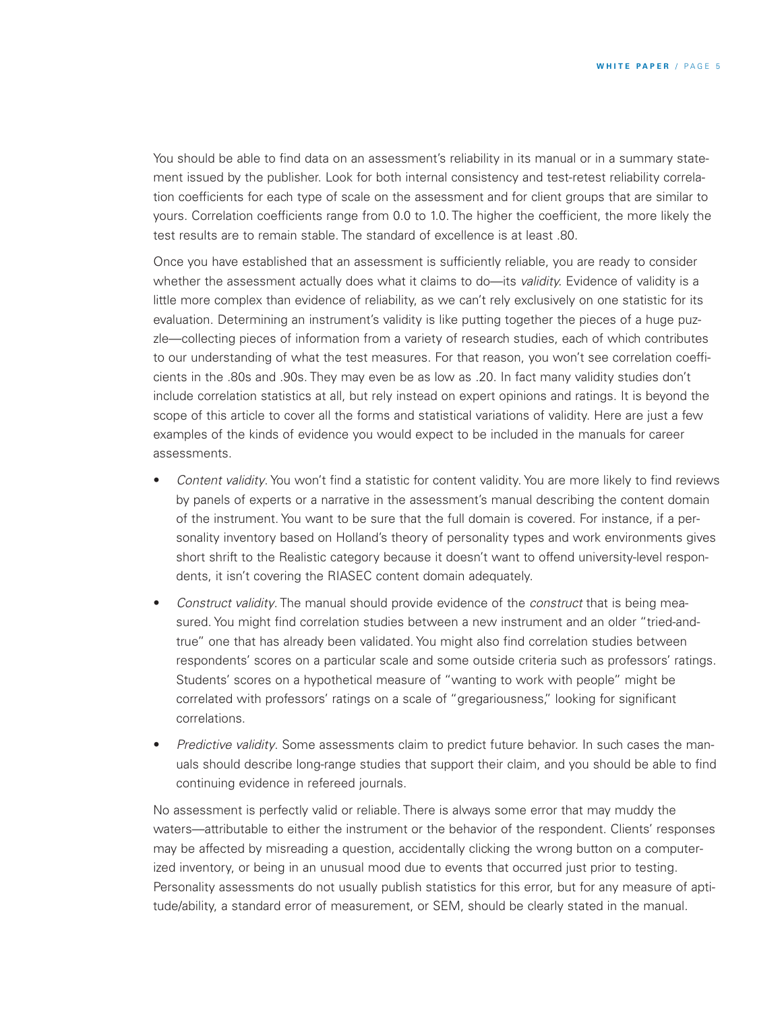You should be able to find data on an assessment's reliability in its manual or in a summary statement issued by the publisher. Look for both internal consistency and test-retest reliability correlation coefficients for each type of scale on the assessment and for client groups that are similar to yours. Correlation coefficients range from 0.0 to 1.0. The higher the coefficient, the more likely the test results are to remain stable. The standard of excellence is at least .80.

Once you have established that an assessment is sufficiently reliable, you are ready to consider whether the assessment actually does what it claims to do—its *validity.* Evidence of validity is a little more complex than evidence of reliability, as we can't rely exclusively on one statistic for its evaluation. Determining an instrument's validity is like putting together the pieces of a huge puzzle—collecting pieces of information from a variety of research studies, each of which contributes to our understanding of what the test measures. For that reason, you won't see correlation coefficients in the .80s and .90s. They may even be as low as .20. In fact many validity studies don't include correlation statistics at all, but rely instead on expert opinions and ratings. It is beyond the scope of this article to cover all the forms and statistical variations of validity. Here are just a few examples of the kinds of evidence you would expect to be included in the manuals for career assessments.

- *Content validity*. You won't find a statistic for content validity. You are more likely to find reviews by panels of experts or a narrative in the assessment's manual describing the content domain of the instrument. You want to be sure that the full domain is covered. For instance, if a personality inventory based on Holland's theory of personality types and work environments gives short shrift to the Realistic category because it doesn't want to offend university-level respondents, it isn't covering the RIASEC content domain adequately.
- *Construct validity*. The manual should provide evidence of the *construct* that is being measured. You might find correlation studies between a new instrument and an older "tried-andtrue" one that has already been validated. You might also find correlation studies between respondents' scores on a particular scale and some outside criteria such as professors' ratings. Students' scores on a hypothetical measure of "wanting to work with people" might be correlated with professors' ratings on a scale of "gregariousness," looking for significant correlations.
- *Predictive validity*. Some assessments claim to predict future behavior. In such cases the manuals should describe long-range studies that support their claim, and you should be able to find continuing evidence in refereed journals.

No assessment is perfectly valid or reliable. There is always some error that may muddy the waters—attributable to either the instrument or the behavior of the respondent. Clients' responses may be affected by misreading a question, accidentally clicking the wrong button on a computerized inventory, or being in an unusual mood due to events that occurred just prior to testing. Personality assessments do not usually publish statistics for this error, but for any measure of aptitude/ability, a standard error of measurement, or SEM, should be clearly stated in the manual.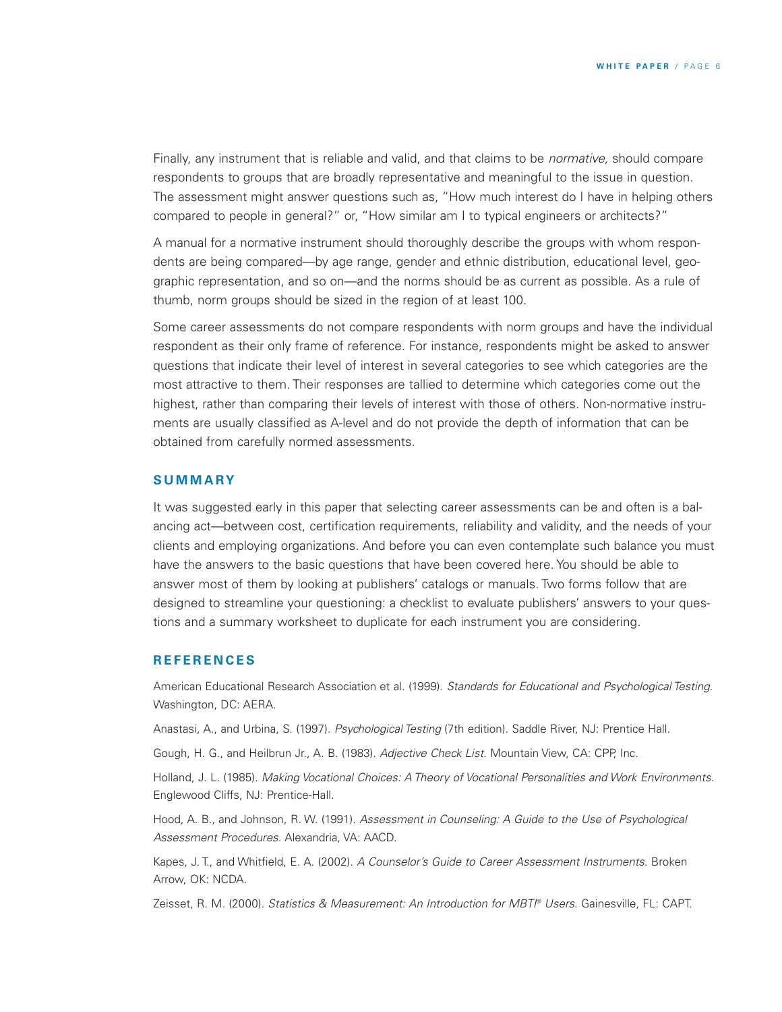Finally, any instrument that is reliable and valid, and that claims to be *normative,* should compare respondents to groups that are broadly representative and meaningful to the issue in question. The assessment might answer questions such as, "How much interest do I have in helping others compared to people in general?" or, "How similar am I to typical engineers or architects?"

A manual for a normative instrument should thoroughly describe the groups with whom respondents are being compared—by age range, gender and ethnic distribution, educational level, geographic representation, and so on—and the norms should be as current as possible. As a rule of thumb, norm groups should be sized in the region of at least 100.

Some career assessments do not compare respondents with norm groups and have the individual respondent as their only frame of reference. For instance, respondents might be asked to answer questions that indicate their level of interest in several categories to see which categories are the most attractive to them. Their responses are tallied to determine which categories come out the highest, rather than comparing their levels of interest with those of others. Non-normative instruments are usually classified as A-level and do not provide the depth of information that can be obtained from carefully normed assessments.

#### **S U M M A RY**

It was suggested early in this paper that selecting career assessments can be and often is a balancing act—between cost, certification requirements, reliability and validity, and the needs of your clients and employing organizations. And before you can even contemplate such balance you must have the answers to the basic questions that have been covered here. You should be able to answer most of them by looking at publishers' catalogs or manuals. Two forms follow that are designed to streamline your questioning: a checklist to evaluate publishers' answers to your questions and a summary worksheet to duplicate for each instrument you are considering.

#### **R E F E R E N CES**

American Educational Research Association et al. (1999). *Standards for Educational and Psychological Testing*. Washington, DC: AERA.

Anastasi, A., and Urbina, S. (1997). *Psychological Testing* (7th edition). Saddle River, NJ: Prentice Hall.

Gough, H. G., and Heilbrun Jr., A. B. (1983). *Adjective Check List.* Mountain View, CA: CPP, Inc.

Holland, J. L. (1985). *Making Vocational Choices: A Theory of Vocational Personalities and Work Environments.* Englewood Cliffs, NJ: Prentice-Hall.

Hood, A. B., and Johnson, R. W. (1991). *Assessment in Counseling: A Guide to the Use of Psychological Assessment Procedures*. Alexandria, VA: AACD.

Kapes, J. T., and Whitfield, E. A. (2002). *A Counselor's Guide to Career Assessment Instruments*. Broken Arrow, OK: NCDA.

Zeisset, R. M. (2000). *Statistics & Measurement: An Introduction for MBTI ® Users*. Gainesville, FL: CAPT.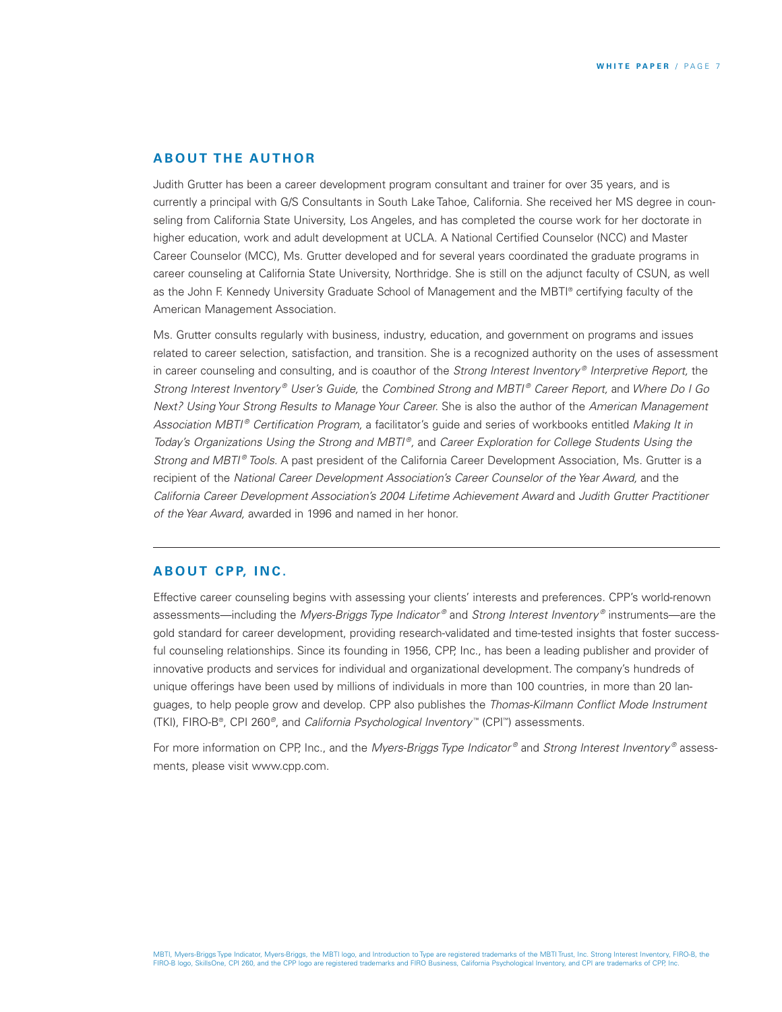#### **A B O U T T H E AU T H O R**

Judith Grutter has been a career development program consultant and trainer for over 35 years, and is currently a principal with G/S Consultants in South Lake Tahoe, California. She received her MS degree in counseling from California State University, Los Angeles, and has completed the course work for her doctorate in higher education, work and adult development at UCLA. A National Certified Counselor (NCC) and Master Career Counselor (MCC), Ms. Grutter developed and for several years coordinated the graduate programs in career counseling at California State University, Northridge. She is still on the adjunct faculty of CSUN, as well as the John F. Kennedy University Graduate School of Management and the MBTI ® certifying faculty of the American Management Association.

Ms. Grutter consults regularly with business, industry, education, and government on programs and issues related to career selection, satisfaction, and transition. She is a recognized authority on the uses of assessment in career counseling and consulting, and is coauthor of the *Strong Interest Inventory ® Interpretive Report,* the *Strong Interest Inventory ® User's Guide,* the *Combined Strong and MBTI ® Career Report,* and *Where Do I Go Next? Using Your Strong Results to Manage Your Career.* She is also the author of the *American Management Association MBTI ® Certification Program,* a facilitator's guide and series of workbooks entitled *Making It in Today's Organizations Using the Strong and MBTI ®,* and *Career Exploration for College Students Using the Strong and MBTI ® Tools.* A past president of the California Career Development Association, Ms. Grutter is a recipient of the *National Career Development Association's Career Counselor of the Year Award,* and the *California Career Development Association's 2004 Lifetime Achievement Award* and *Judith Grutter Practitioner of the Year Award,* awarded in 1996 and named in her honor.

#### **A B O U T C P P, I N C .**

Effective career counseling begins with assessing your clients' interests and preferences. CPP's world-renown assessments—including the *Myers-Briggs Type Indicator ®* and *Strong Interest Inventory ®* instruments—are the gold standard for career development, providing research-validated and time-tested insights that foster successful counseling relationships. Since its founding in 1956, CPP, Inc., has been a leading publisher and provider of innovative products and services for individual and organizational development. The company's hundreds of unique offerings have been used by millions of individuals in more than 100 countries, in more than 20 languages, to help people grow and develop. CPP also publishes the *Thomas-Kilmann Conflict Mode Instrument* (TKI), FIRO-B®, CPI 260*®*, and *California Psychological Inventory* ™ (CPI ™) assessments.

For more information on CPP, Inc., and the *Myers-Briggs Type Indicator ®* and *Strong Interest Inventory ®* assessments, please visit www.cpp.com.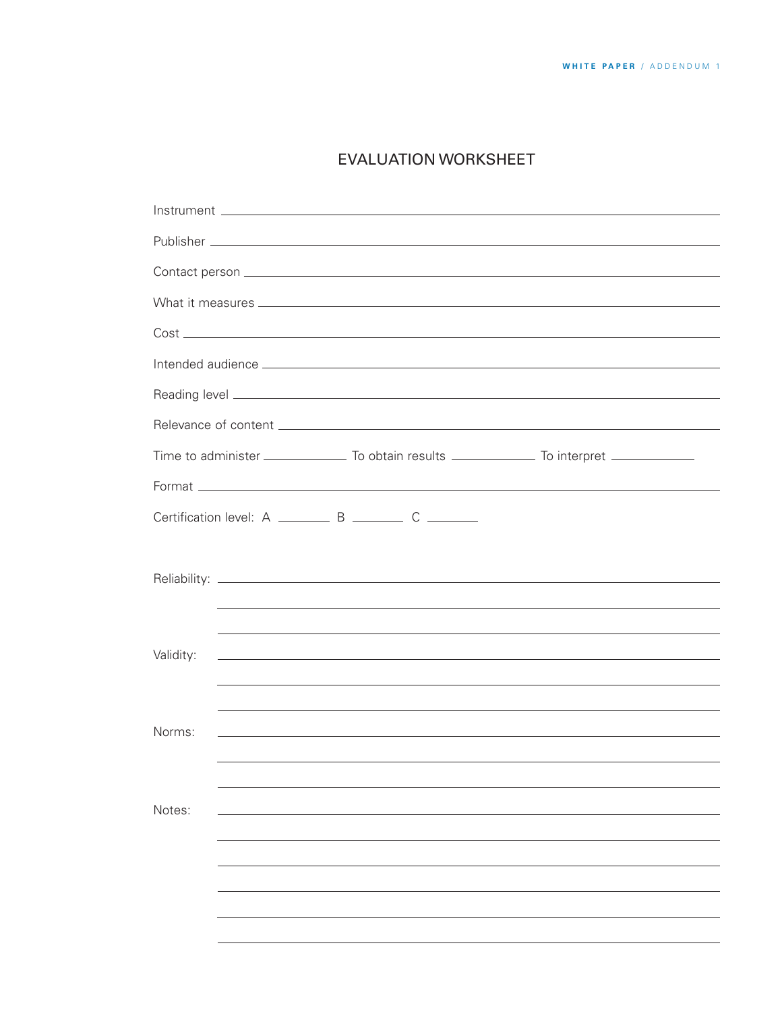### EVALUATION WORKSHEET

| Certification level: A __________ B _________ C ________ |  |  |                                                                                  |  |  |  |  |  |  |  |
|----------------------------------------------------------|--|--|----------------------------------------------------------------------------------|--|--|--|--|--|--|--|
|                                                          |  |  |                                                                                  |  |  |  |  |  |  |  |
|                                                          |  |  |                                                                                  |  |  |  |  |  |  |  |
|                                                          |  |  |                                                                                  |  |  |  |  |  |  |  |
|                                                          |  |  |                                                                                  |  |  |  |  |  |  |  |
| Validity:                                                |  |  | ,我们也不会有什么。""我们的人,我们也不会有什么?""我们的人,我们也不会有什么?""我们的人,我们也不会有什么?""我们的人,我们也不会有什么?""我们的人 |  |  |  |  |  |  |  |
|                                                          |  |  |                                                                                  |  |  |  |  |  |  |  |
| Norms:                                                   |  |  |                                                                                  |  |  |  |  |  |  |  |
|                                                          |  |  |                                                                                  |  |  |  |  |  |  |  |
|                                                          |  |  |                                                                                  |  |  |  |  |  |  |  |
| Notes:                                                   |  |  |                                                                                  |  |  |  |  |  |  |  |
|                                                          |  |  |                                                                                  |  |  |  |  |  |  |  |
|                                                          |  |  |                                                                                  |  |  |  |  |  |  |  |
|                                                          |  |  |                                                                                  |  |  |  |  |  |  |  |
|                                                          |  |  |                                                                                  |  |  |  |  |  |  |  |